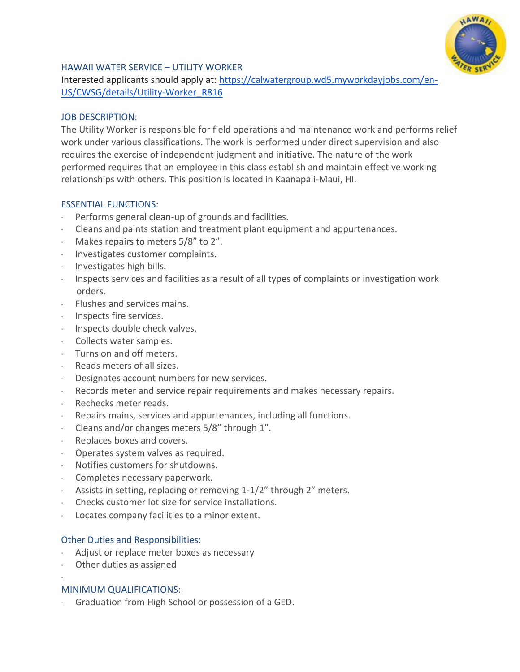

## HAWAII WATER SERVICE – UTILITY WORKER

Interested applicants should apply at: [https://calwatergroup.wd5.myworkdayjobs.com/en-](https://calwatergroup.wd5.myworkdayjobs.com/en-US/CWSG/details/Utility-Worker_R816)[US/CWSG/details/Utility-Worker\\_R816](https://calwatergroup.wd5.myworkdayjobs.com/en-US/CWSG/details/Utility-Worker_R816)

### JOB DESCRIPTION:

The Utility Worker is responsible for field operations and maintenance work and performs relief work under various classifications. The work is performed under direct supervision and also requires the exercise of independent judgment and initiative. The nature of the work performed requires that an employee in this class establish and maintain effective working relationships with others. This position is located in Kaanapali-Maui, HI.

### ESSENTIAL FUNCTIONS:

- Performs general clean-up of grounds and facilities.
- · Cleans and paints station and treatment plant equipment and appurtenances.
- Makes repairs to meters 5/8" to 2".
- · Investigates customer complaints.
- · Investigates high bills.
- · Inspects services and facilities as a result of all types of complaints or investigation work orders.
- · Flushes and services mains.
- · Inspects fire services.
- · Inspects double check valves.
- · Collects water samples.
- · Turns on and off meters.
- · Reads meters of all sizes.
- Designates account numbers for new services.
- Records meter and service repair requirements and makes necessary repairs.
- Rechecks meter reads.
- Repairs mains, services and appurtenances, including all functions.
- · Cleans and/or changes meters 5/8" through 1".
- Replaces boxes and covers.
- Operates system valves as required.
- · Notifies customers for shutdowns.
- · Completes necessary paperwork.
- Assists in setting, replacing or removing 1-1/2" through 2" meters.
- · Checks customer lot size for service installations.
- Locates company facilities to a minor extent.

#### Other Duties and Responsibilities:

- Adjust or replace meter boxes as necessary
- Other duties as assigned

·

## MINIMUM QUALIFICATIONS:

Graduation from High School or possession of a GED.